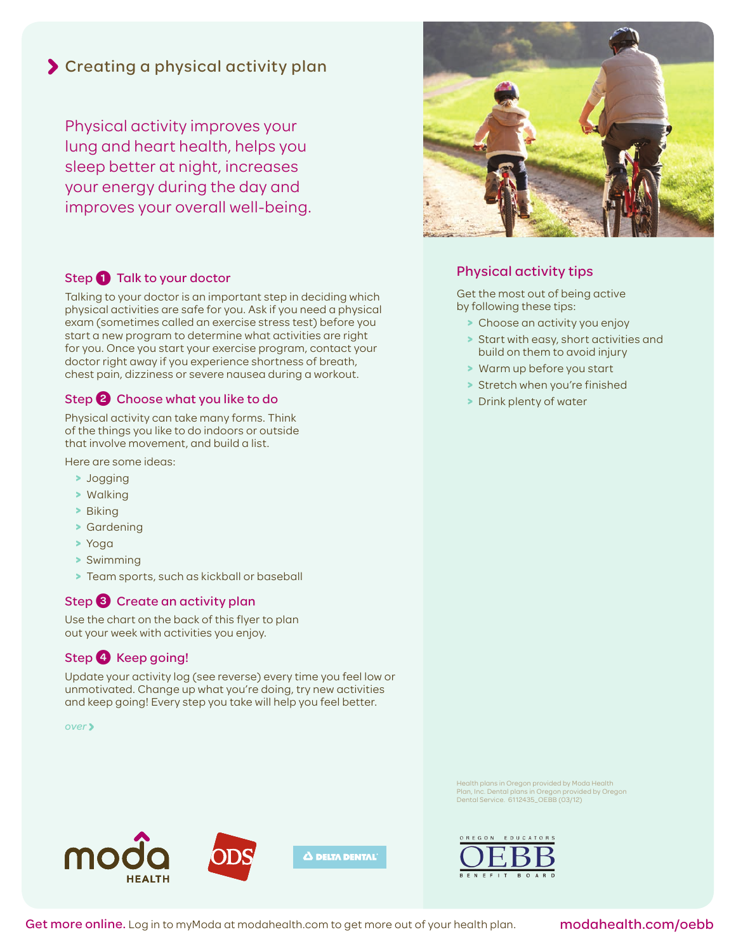## Creating a physical activity plan

Physical activity improves your lung and heart health, helps you sleep better at night, increases your energy during the day and improves your overall well-being.

#### Step 1 Talk to your doctor

Talking to your doctor is an important step in deciding which physical activities are safe for you. Ask if you need a physical exam (sometimes called an exercise stress test) before you start a new program to determine what activities are right for you. Once you start your exercise program, contact your doctor right away if you experience shortness of breath, chest pain, dizziness or severe nausea during a workout.

#### Step <sup>2</sup> Choose what you like to do

Physical activity can take many forms. Think of the things you like to do indoors or outside that involve movement, and build a list.

Here are some ideas:

- **>** Jogging
- **>** Walking
- **>** Biking
- **>** Gardening
- **>** Yoga
- **>** Swimming
- **>** Team sports, such as kickball or baseball

#### Step <sup>3</sup> Create an activity plan

Use the chart on the back of this flyer to plan out your week with activities you enjoy.

#### Step 4 Keep going!

Update your activity log (see reverse) every time you feel low or unmotivated. Change up what you're doing, try new activities and keep going! Every step you take will help you feel better.

*over*





### Physical activity tips

Get the most out of being active by following these tips:

- **>** Choose an activity you enjoy
- **>** Start with easy, short activities and build on them to avoid injury
- **>** Warm up before you start
- **>** Stretch when you're finished
- **>** Drink plenty of water

Health plans in Oregon provided by Moda Health Plan, Inc. Dental plans in Oregon provided by Oregon Dental Service. 6112435\_OEBB (03/12)



Get more online. Log in to myModa at modahealth.com to get more out of your health plan.

#### modahealth.com/oebb